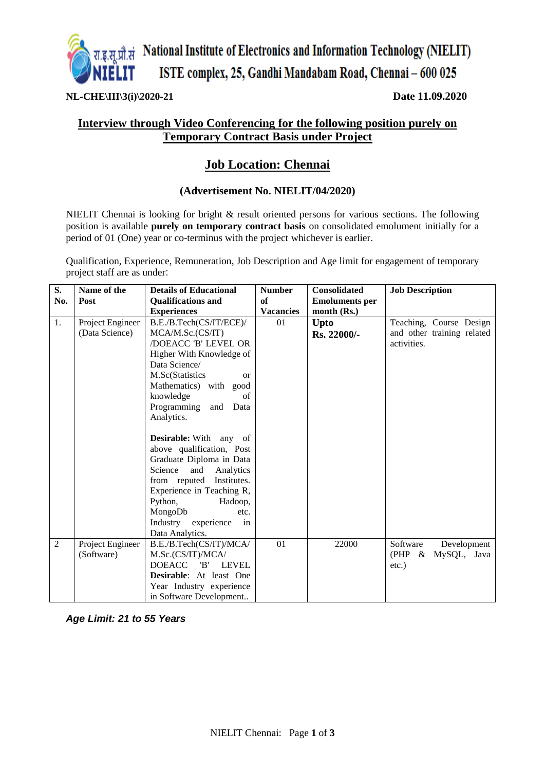

**NL-CHE\III\3(i)\2020-21 Date 11.09.2020**

### **Interview through Video Conferencing for the following position purely on Temporary Contract Basis under Project**

## **Job Location: Chennai**

#### **(Advertisement No. NIELIT/04/2020)**

NIELIT Chennai is looking for bright & result oriented persons for various sections. The following position is available **purely on temporary contract basis** on consolidated emolument initially for a period of 01 (One) year or co-terminus with the project whichever is earlier.

Qualification, Experience, Remuneration, Job Description and Age limit for engagement of temporary project staff are as under:

| S.             | Name of the      | <b>Details of Educational</b>        | <b>Number</b>    | <b>Consolidated</b>   | <b>Job Description</b>     |
|----------------|------------------|--------------------------------------|------------------|-----------------------|----------------------------|
| No.            | Post             | <b>Qualifications and</b>            | of               | <b>Emoluments per</b> |                            |
|                |                  | <b>Experiences</b>                   | <b>Vacancies</b> | month $(Rs.)$         |                            |
| 1.             | Project Engineer | B.E./B.Tech(CS/IT/ECE)/              | 01               | Upto                  | Teaching, Course Design    |
|                | (Data Science)   | MCA/M.Sc.(CS/IT)                     |                  | Rs. 22000/-           | and other training related |
|                |                  | /DOEACC 'B' LEVEL OR                 |                  |                       | activities.                |
|                |                  | Higher With Knowledge of             |                  |                       |                            |
|                |                  | Data Science/                        |                  |                       |                            |
|                |                  | M.Sc(Statistics<br><sub>or</sub>     |                  |                       |                            |
|                |                  | Mathematics) with good               |                  |                       |                            |
|                |                  | knowledge<br>of                      |                  |                       |                            |
|                |                  | Programming<br>Data<br>and           |                  |                       |                            |
|                |                  | Analytics.                           |                  |                       |                            |
|                |                  |                                      |                  |                       |                            |
|                |                  | <b>Desirable:</b> With any of        |                  |                       |                            |
|                |                  | above qualification, Post            |                  |                       |                            |
|                |                  | Graduate Diploma in Data             |                  |                       |                            |
|                |                  | Science<br>and<br>Analytics          |                  |                       |                            |
|                |                  | from reputed Institutes.             |                  |                       |                            |
|                |                  | Experience in Teaching R,            |                  |                       |                            |
|                |                  | Python,<br>Hadoop,                   |                  |                       |                            |
|                |                  | MongoDb<br>etc.                      |                  |                       |                            |
|                |                  | Industry<br>experience<br>in         |                  |                       |                            |
|                |                  | Data Analytics.                      |                  |                       |                            |
| $\overline{2}$ | Project Engineer | B.E./B.Tech(CS/IT)/MCA/              | 01               | 22000                 | Software<br>Development    |
|                | (Software)       | M.Sc.(CS/IT)/MCA/                    |                  |                       | (PHP &<br>MySQL, Java      |
|                |                  | <b>DOEACC</b><br>'B'<br><b>LEVEL</b> |                  |                       | $etc.$ )                   |
|                |                  | <b>Desirable:</b> At least One       |                  |                       |                            |
|                |                  | Year Industry experience             |                  |                       |                            |
|                |                  | in Software Development              |                  |                       |                            |

*Age Limit: 21 to 55 Years*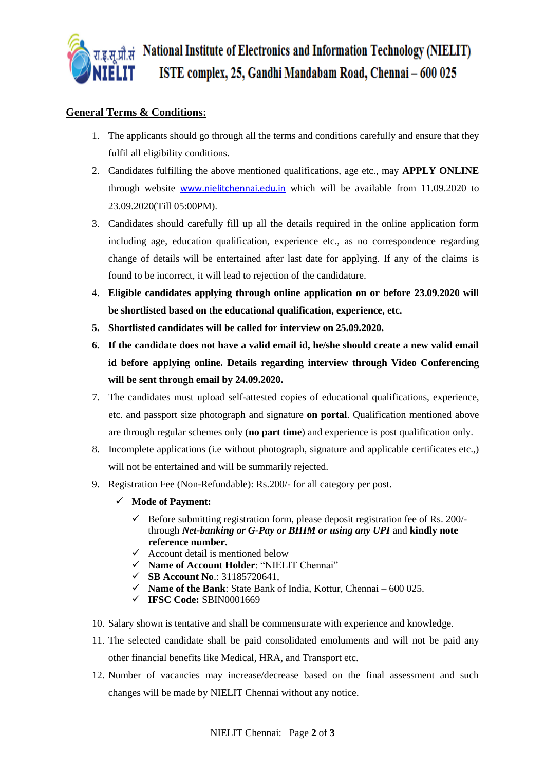

#### **General Terms & Conditions:**

- 1. The applicants should go through all the terms and conditions carefully and ensure that they fulfil all eligibility conditions.
- 2. Candidates fulfilling the above mentioned qualifications, age etc., may **APPLY ONLINE** through website [www.nielitchennai.edu.in](http://www.nielitchennai.edu.in/) which will be available from 11.09.2020 to 23.09.2020(Till 05:00PM).
- 3. Candidates should carefully fill up all the details required in the online application form including age, education qualification, experience etc., as no correspondence regarding change of details will be entertained after last date for applying. If any of the claims is found to be incorrect, it will lead to rejection of the candidature.
- 4. **Eligible candidates applying through online application on or before 23.09.2020 will be shortlisted based on the educational qualification, experience, etc.**
- **5. Shortlisted candidates will be called for interview on 25.09.2020.**
- **6. If the candidate does not have a valid email id, he/she should create a new valid email id before applying online. Details regarding interview through Video Conferencing will be sent through email by 24.09.2020.**
- 7. The candidates must upload self-attested copies of educational qualifications, experience, etc. and passport size photograph and signature **on portal**. Qualification mentioned above are through regular schemes only (**no part time**) and experience is post qualification only.
- 8. Incomplete applications (i.e without photograph, signature and applicable certificates etc.,) will not be entertained and will be summarily rejected.
- 9. Registration Fee (Non-Refundable): Rs.200/- for all category per post.
	- ✓ **Mode of Payment:** 
		- $\checkmark$  Before submitting registration form, please deposit registration fee of Rs. 200/through *Net-banking or G-Pay or BHIM or using any UPI* and **kindly note reference number.**
		- $\checkmark$  Account detail is mentioned below
		- ✓ **Name of Account Holder**: "NIELIT Chennai"
		- ✓ **SB Account No**.: 31185720641,
		- $\checkmark$  **Name of the Bank**: State Bank of India, Kottur, Chennai 600 025.
		- ✓ **IFSC Code:** SBIN0001669
- 10. Salary shown is tentative and shall be commensurate with experience and knowledge.
- 11. The selected candidate shall be paid consolidated emoluments and will not be paid any other financial benefits like Medical, HRA, and Transport etc.
- 12. Number of vacancies may increase/decrease based on the final assessment and such changes will be made by NIELIT Chennai without any notice.